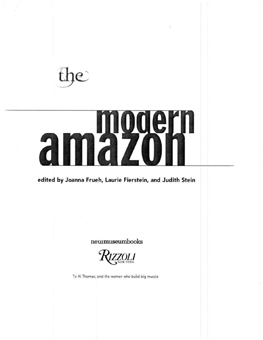$\mathbf{P}$ 

# xcern 27 7

# **edited by Joanna Frueh, Laurie Fierstein, and Judith Stein**

## **newmuseumbooks**

 $\mathcal{H}_{\tiny\mbox{vork}}$ 

To Al Thomas; and the women who build big muscle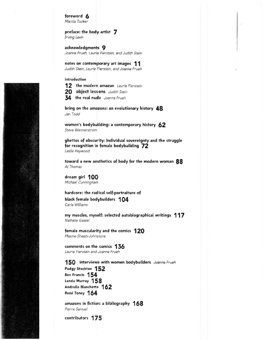foreword **6**  *Marcia Tucker* 

pref ace: the body artist **7**  *Irving Lavin* 

acknowledgments **9**  *Joanna Frueh, Laurie Fierstein, and Judith Stein* 

notes on contemporary art images **11**  *Judith Stein, Laurie Fierstein, and Joanna Frueh* 

introduction

**12** the modern amazon *Laurie Fierstein* 

**20** object Lessons *Judith Stein* 

**34** the real nude *Joanna Frueh* 

bring on the amazons: an evolutionary history **48**  *Jan Todd* 

women's bodybuilding: a contemporary history **62**  *Steve Wennerstrom* 

ghettos of obscurity: individual sovereignty and the struggle for recognition in female bodybuilding **72**  *Leslie Heywood* 

toward a new aesthetics of body for the modern woman **88**  *Al Thomas* 

dream girl **1 00**  *Michael Cunningham* 

hardcore: the radical self-portraiture of black female bodybuilders **1 04**  *Carla Williams* 

my muscles, myself: selected autobiographical writings **117**  *Nathalie Gassel* 

female muscularity and the comics **120**  *Maxine Sheets-Johnstone* 

comments on the comics **136**  *Laurie Fierstein and Joanna Frueh* 

**150** interviews with women bodybuilders *Joanna Frueh*  Pudgy Stockton **152**  Bev Francis **154**  Lenda Murray 158 Andrulla Blanchette **162**  Rene Toney **164** 

amazons in fiction: a bibliography **168**  *Pierre Samuel* 

contributors **175** 

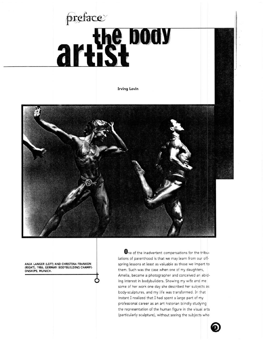# preface artist body

**Irving Lavin** 



**ANJA LANGER (LEFT) AND CHRISTINA FRANKEN** (RIGHT), 1986, GERMAN BODYBUILDING CHAMPI-**ONSHIPS, MUNICH.** 

**One** of the inadvertent compensations for the tribulations of parenthood is that we may learn from our offspring lessons at least as valuable as those we impart to them. Such was the case when one of my daughters, Amelia, became a photographer and conceived an abiding interest in bodybuilders. Showing my wife and me some of her work one day she described her subjects as body-sculptures, and my life was transformed. In that instant l realized that I had spent a large part of my professional career as an art historian blindly studying the representation of the human figure in the visual arts (particularly sculpture), without seeing the subjects who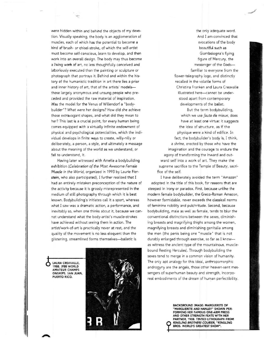were hidden within and behind the objects of my devotion. Visually speaking, the body is an agglomeration of muscles, each of which has the potential to become a kind of brush- or chisel-stroke, of which the self-artist must become self-conscious, learn to develop, and then work into an overall design. The body may thus become a living work of art, no less thoughtfully conceived and laboriously executed than the painting or sculpture or photograph that portrays it. Behind and within the history of the humanistic tradition in art there lies a prior and inner history of art, that of the artists' modelsthose largely anonymous and unsung people who preceded and provided the raw material of inspiration. Was the model for the Venus of Willendorf a "bodybuilder"? What were her designs? How did she achieve those extravagant shapes, and what did they mean to her? This last is a crucial point, for every human being comes equipped with a virtually infinite endowment of physical and psychological potentialities, which the individual develops in finite ways to create, willy-nilly or deliberately, a person, a style, and ultimately a message about the meaning of the world as we understand, or fail to understand, it.

Having later witnessed with Amelia a bodybuilding exhibition *(Celebration of the Most Awesome Female Muscle in the World,* organized in 1993 by Laurie Fierstein, who also participated), I further realized that I had an entirely mistaken preconception of the nature of the activity because it is grossly misrepresented in the medium of still photography through which it is best known. Bodybuilding's initiates call it a sport, whereas what I saw was a dramatic action, a performance, and inevitably so, when one thinks about it, because we cannot understand what the body-artist's muscle-strokes have achieved without seeing them in action. The artist/work-of-art is practically never at rest, and the quality of the movement is no less eloquent than the glistening, streamlined forms themselves-balletic is

LAURA CREAVALLE, 1988, IFBB WORLD **AMATEUR CHAMPI-**ONSHTPS, SAN JUAN, PUERTO RICO.



the only adequate word. And I am convinced that evocations of the body beautiful such as Giambologna's flying figure of Mercury, the messenger of the Godsfamiliar to everyone from the flower-telegraphy logo, and distinctly recalled in the volatile forms of Christina Franken and laura Creavalle illustrated here-cannot be understood apart from contemporary developments of the ballet.

But the term bodybuilding, which we use *faute de mieux,* does have at least one virtue: it suggests the idea of structure, as if the physique were a kind of edifice. In fact, the bodybuilder's body is, I think, a shrine, erected by those who have the imagination and the courage to endure the agony of transforming the inward and outward self into a work of art. They make the supreme sacrifice to the Temple of Beauty, sacrifice of the self.

I have deliberately avoided the term "Amazon" adopted in the title of this book, for reasons that are steeped in irony or paradox. First, because unlike the modern female bodybuilder, the Greco-Roman Amazon, however formidable, never exceeds the classical norms of feminine nobility and pulchritude. Second, because bodybuilding, male as well as female, tends to blur the conventional distinctions between the sexes, diminishing breasts and magnifying thighs among the women, magnifying breasts and diminishing genitalia among the men (the penis being one "muscle" that is not durably enlarged through exercise, so far as I knowas witness the ancient type of the mountainous, musclebound Resting Hercules). Through bodybuilding the sexes tend to merge in a common vision of humanity. The only apt analogy for this ideal, anthropomorphic androgyny are the angels, those other heaven-sent messengers of superhuman beauty and strength, incorporeal embodiments of the dream of human perfectibility.

> BACKGROUND IMAGE: MARGUERITE OF "MARGUERITE AND HANLEY" SHOWN PER-FORMING HER FAMOUS ONE-ARM PRESS AND OTHER STRENGTH FEATS WITH HER PARTNER. 1908. TINTED LITHOGRAPH FROM **RINGLING BROTHERS COURIER, "RINGLING** BROS. WORLD'S GREATEST SHOW".